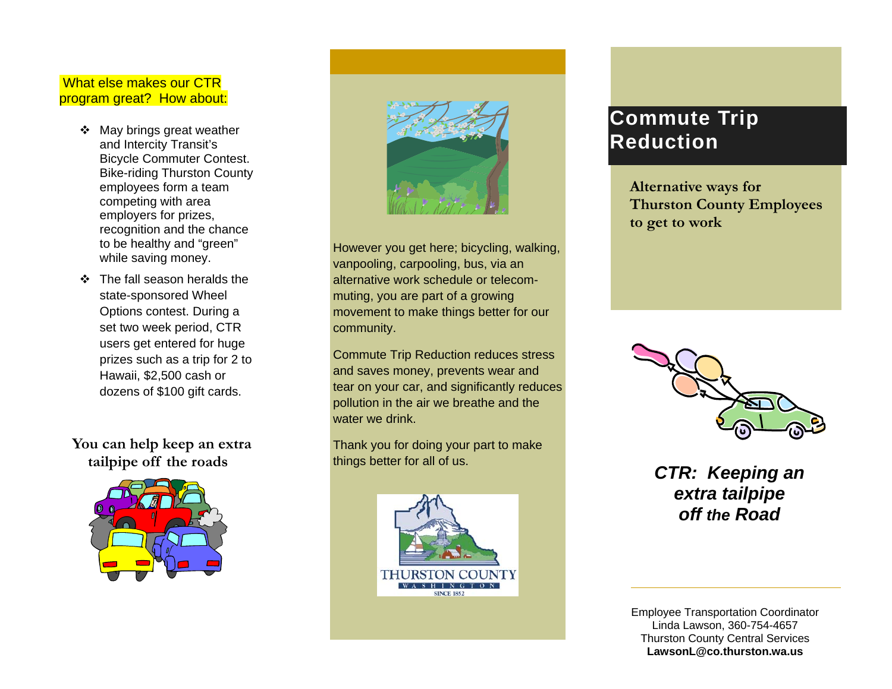### What else makes our CTR program great? How about:

- May brings great weather and Intercity Transit's Bicycle Commuter Contest. Bike-riding Thurston County employees form a team competing with area employers for prizes, recognition and the chance to be healthy and "green" while saving money.
- ❖ The fall season heralds the state-sponsored Wheel Options contest. During a set two week period, CTR users get entered for huge prizes such as a trip for 2 to Hawaii, \$2,500 cash or dozens of \$100 gift cards.

 **You can help keep an extra tailpipe off the roads** 





However you get here; bicycling, walking, vanpooling, carpooling, bus, via an alternative work schedule or telecommuting, you are part of a growing movement to make things better for our community.

Commute Trip Reduction reduces stress and saves money, prevents wear and tear on your car, and significantly reduces pollution in the air we breathe and the water we drink.

Thank you for doing your part to make things better for all of us. *CTR: Keeping an* 



# **Commute Trip Reduction**

**Alternative ways for Thurston County Employees to get to work** 



*extra tailpipe off the Road* 

Employee Transportation Coordinator Linda Lawson, 360-754-4657 Thurston County Central Services **LawsonL@co.thurston.wa.us**